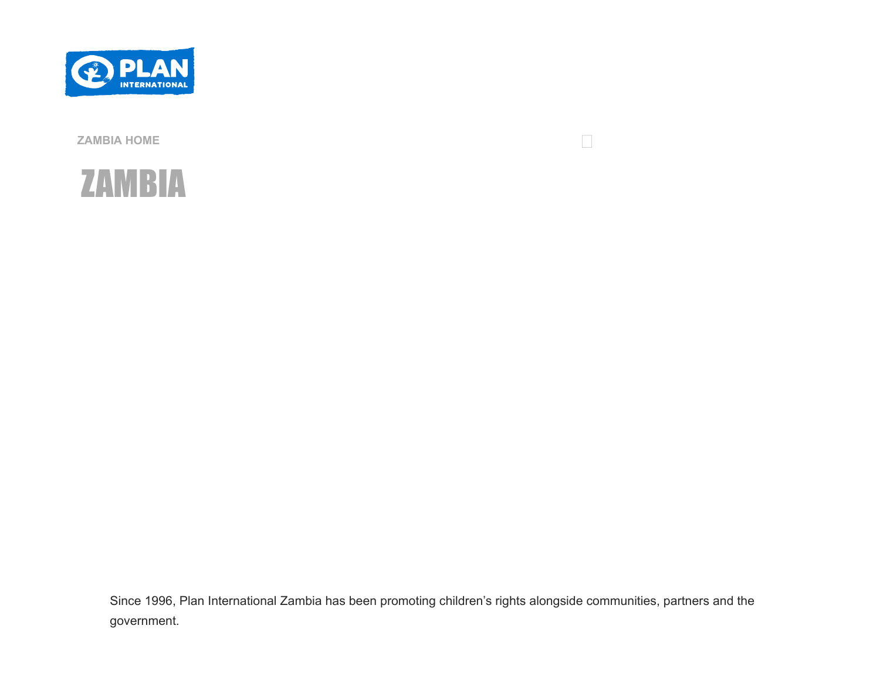



Since 1996, Plan International Zambia has been promoting children's rights alongside communities, partners and the

 $\overline{\mathcal{L}}$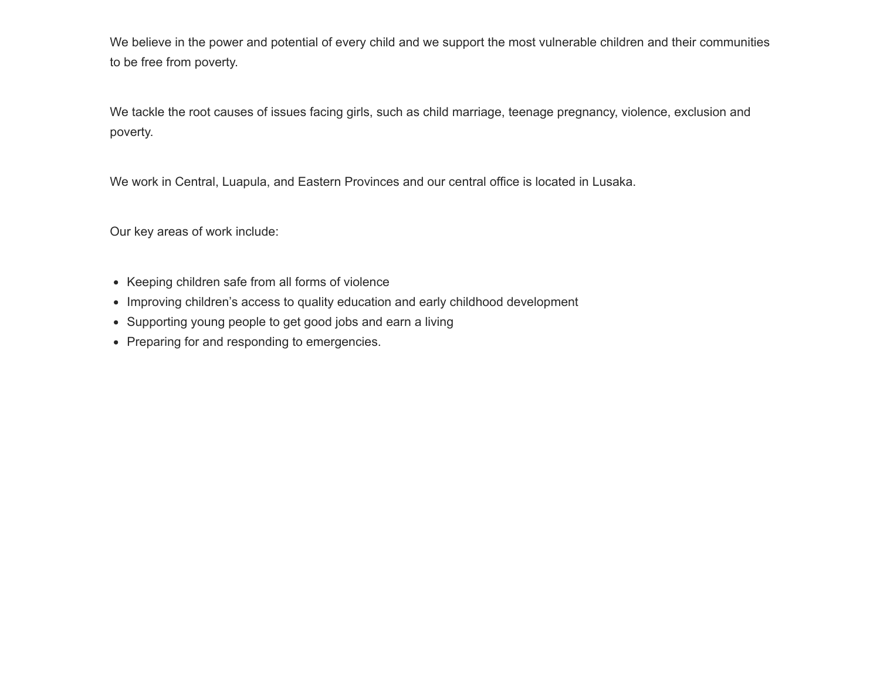We believe in the power and potential of every child and we support the most vulnerable children and their communities to be free from poverty.

We tackle the root causes of issues facing girls, such as child marriage, teenage pregnancy, violence, exclusion and poverty.

We work in Central, Luapula, and Eastern Provinces and our central office is located in Lusaka.

Our key areas of work include:

- Keeping children safe from all forms of violence
- Improving children's access to quality education and early childhood development
- Supporting young people to get good jobs and earn a living
- Preparing for and responding to emergencies.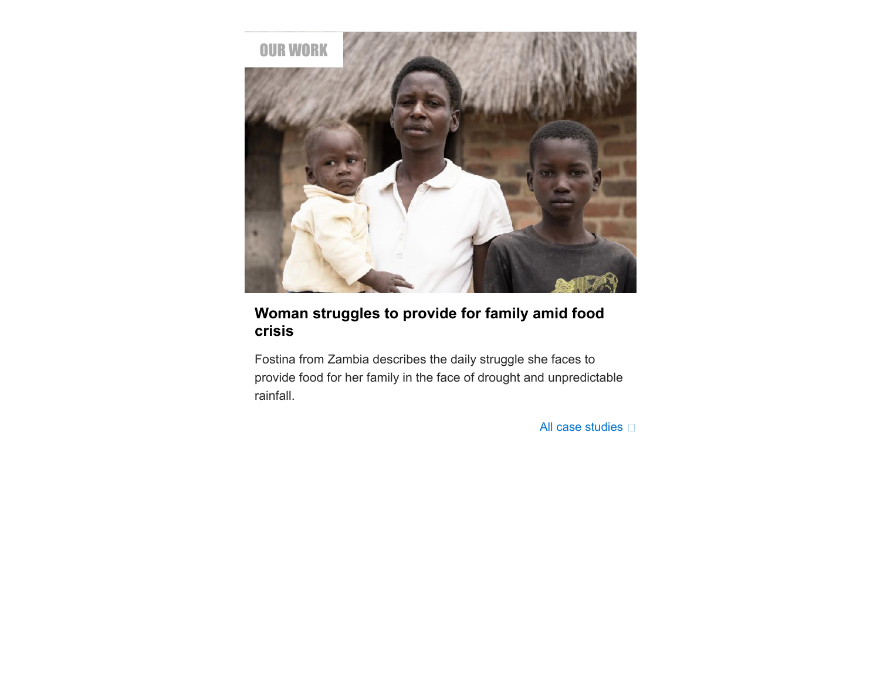

### **[Woman struggles to provide for family amid food](file:///C:/case-studies/woman-struggles-provide-family-amid-food-crisis) crisis**

Fostina from Zambia describes the daily struggle she faces to provide food for her family in the face of drought and unpredictable rainfall.

[All case](file:///C:/case-studies?term_node_tid_depth=57&field_publishing_office_tid_entityreference_filter=All) studies  $\square$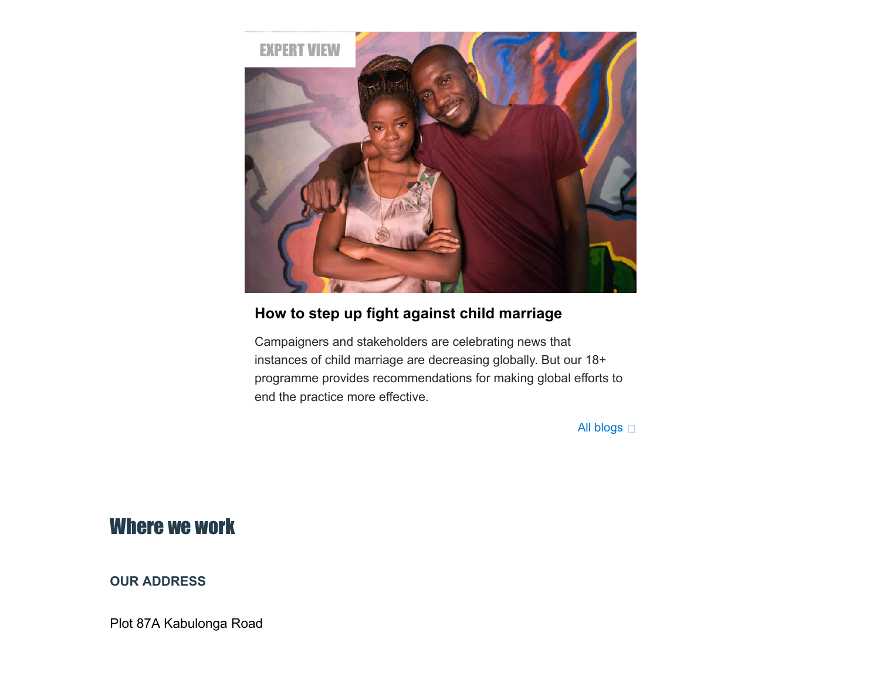

## **[How to step up fight against child marriage](file:///C:/blog/2018/05/how-to-step-up-fight-child-marriage)**

Campaigners and stakeholders are celebrating news that instances of child marriage are decreasing globally. But our 18+ programme provides recommendations for making global efforts to end the practice more effective.

[All blogs](file:///C:/blog?term_node_tid_depth=57&field_publishing_office_tid_entityreference_filter=All)  $\square$ 

## Where we work

#### **OUR ADDRESS**

Plot 87A Kabulonga Road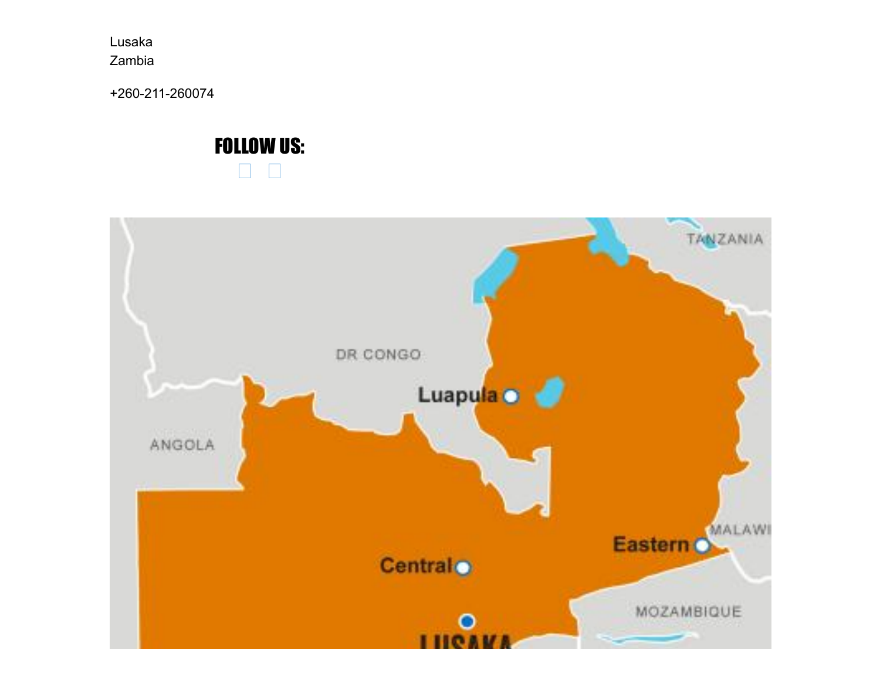Lusaka Zambia

+260-211-260074

#### **FOLLOW US:**  $\Box$  $\Box$

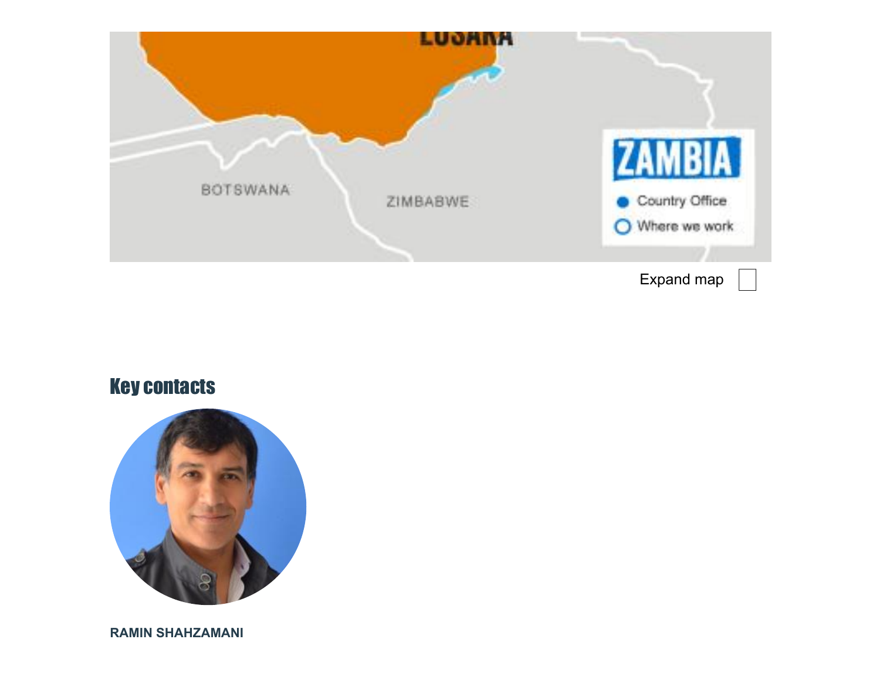

# Key contacts



**RAMIN SHAHZAMANI**